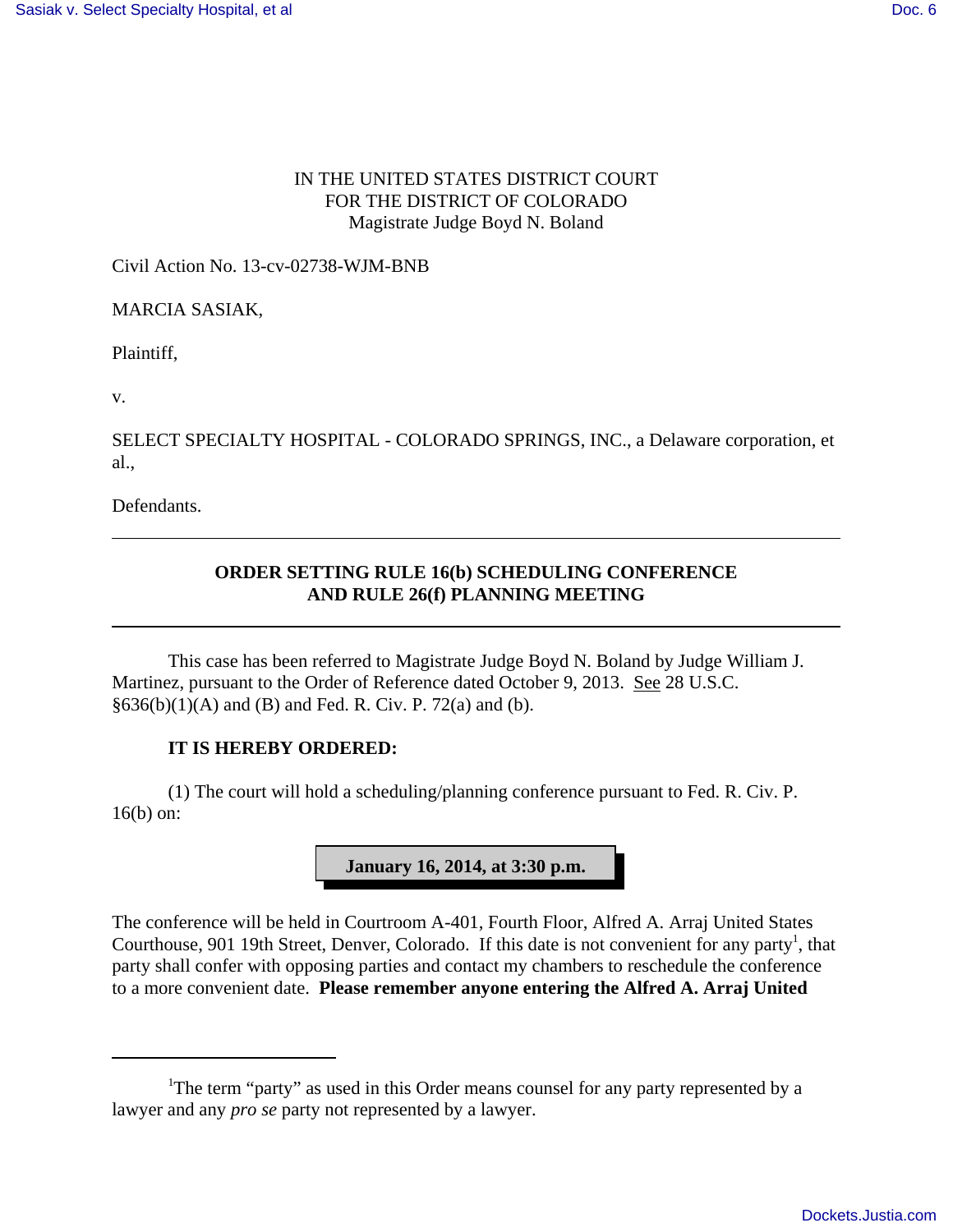### IN THE UNITED STATES DISTRICT COURT FOR THE DISTRICT OF COLORADO Magistrate Judge Boyd N. Boland

Civil Action No. 13-cv-02738-WJM-BNB

MARCIA SASIAK,

Plaintiff,

v.

SELECT SPECIALTY HOSPITAL - COLORADO SPRINGS, INC., a Delaware corporation, et al.,

Defendants.

## **ORDER SETTING RULE 16(b) SCHEDULING CONFERENCE AND RULE 26(f) PLANNING MEETING**

This case has been referred to Magistrate Judge Boyd N. Boland by Judge William J. Martinez, pursuant to the Order of Reference dated October 9, 2013. See 28 U.S.C.  $§636(b)(1)(A)$  and (B) and Fed. R. Civ. P. 72(a) and (b).

#### **IT IS HEREBY ORDERED:**

(1) The court will hold a scheduling/planning conference pursuant to Fed. R. Civ. P. 16(b) on:



The conference will be held in Courtroom A-401, Fourth Floor, Alfred A. Arraj United States Courthouse, 901 19th Street, Denver, Colorado. If this date is not convenient for any party<sup>1</sup>, that party shall confer with opposing parties and contact my chambers to reschedule the conference to a more convenient date. **Please remember anyone entering the Alfred A. Arraj United**

<sup>&</sup>lt;sup>1</sup>The term "party" as used in this Order means counsel for any party represented by a lawyer and any *pro se* party not represented by a lawyer.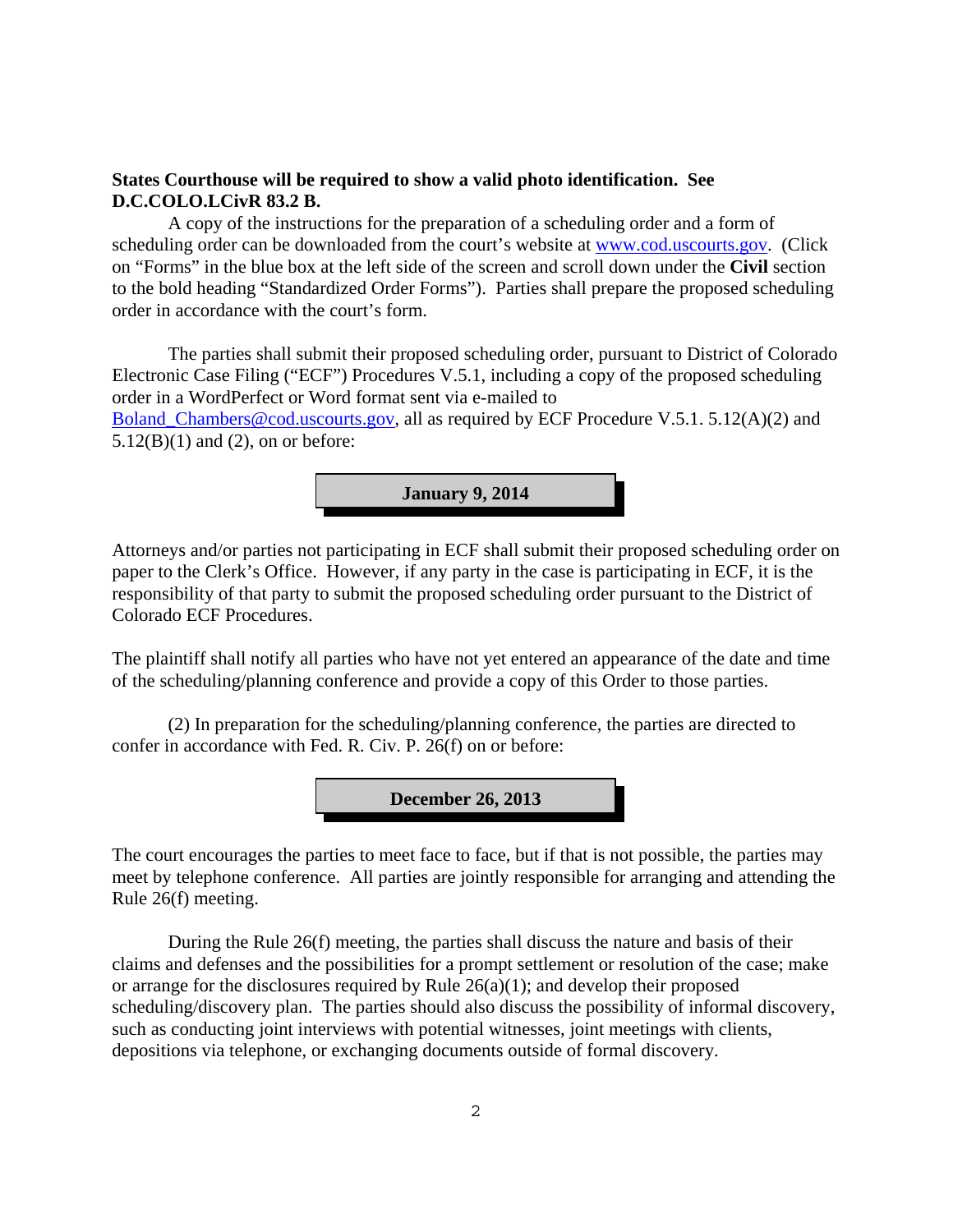#### **States Courthouse will be required to show a valid photo identification. See D.C.COLO.LCivR 83.2 B.**

A copy of the instructions for the preparation of a scheduling order and a form of scheduling order can be downloaded from the court's website at www.cod.uscourts.gov. (Click on "Forms" in the blue box at the left side of the screen and scroll down under the **Civil** section to the bold heading "Standardized Order Forms"). Parties shall prepare the proposed scheduling order in accordance with the court's form.

The parties shall submit their proposed scheduling order, pursuant to District of Colorado Electronic Case Filing ("ECF") Procedures V.5.1, including a copy of the proposed scheduling order in a WordPerfect or Word format sent via e-mailed to Boland\_Chambers@cod.uscourts.gov, all as required by ECF Procedure V.5.1. 5.12(A)(2) and  $5.12(B)(1)$  and  $(2)$ , on or before:



Attorneys and/or parties not participating in ECF shall submit their proposed scheduling order on paper to the Clerk's Office. However, if any party in the case is participating in ECF, it is the responsibility of that party to submit the proposed scheduling order pursuant to the District of Colorado ECF Procedures.

The plaintiff shall notify all parties who have not yet entered an appearance of the date and time of the scheduling/planning conference and provide a copy of this Order to those parties.

(2) In preparation for the scheduling/planning conference, the parties are directed to confer in accordance with Fed. R. Civ. P. 26(f) on or before:



The court encourages the parties to meet face to face, but if that is not possible, the parties may meet by telephone conference. All parties are jointly responsible for arranging and attending the Rule 26(f) meeting.

During the Rule 26(f) meeting, the parties shall discuss the nature and basis of their claims and defenses and the possibilities for a prompt settlement or resolution of the case; make or arrange for the disclosures required by Rule 26(a)(1); and develop their proposed scheduling/discovery plan. The parties should also discuss the possibility of informal discovery, such as conducting joint interviews with potential witnesses, joint meetings with clients, depositions via telephone, or exchanging documents outside of formal discovery.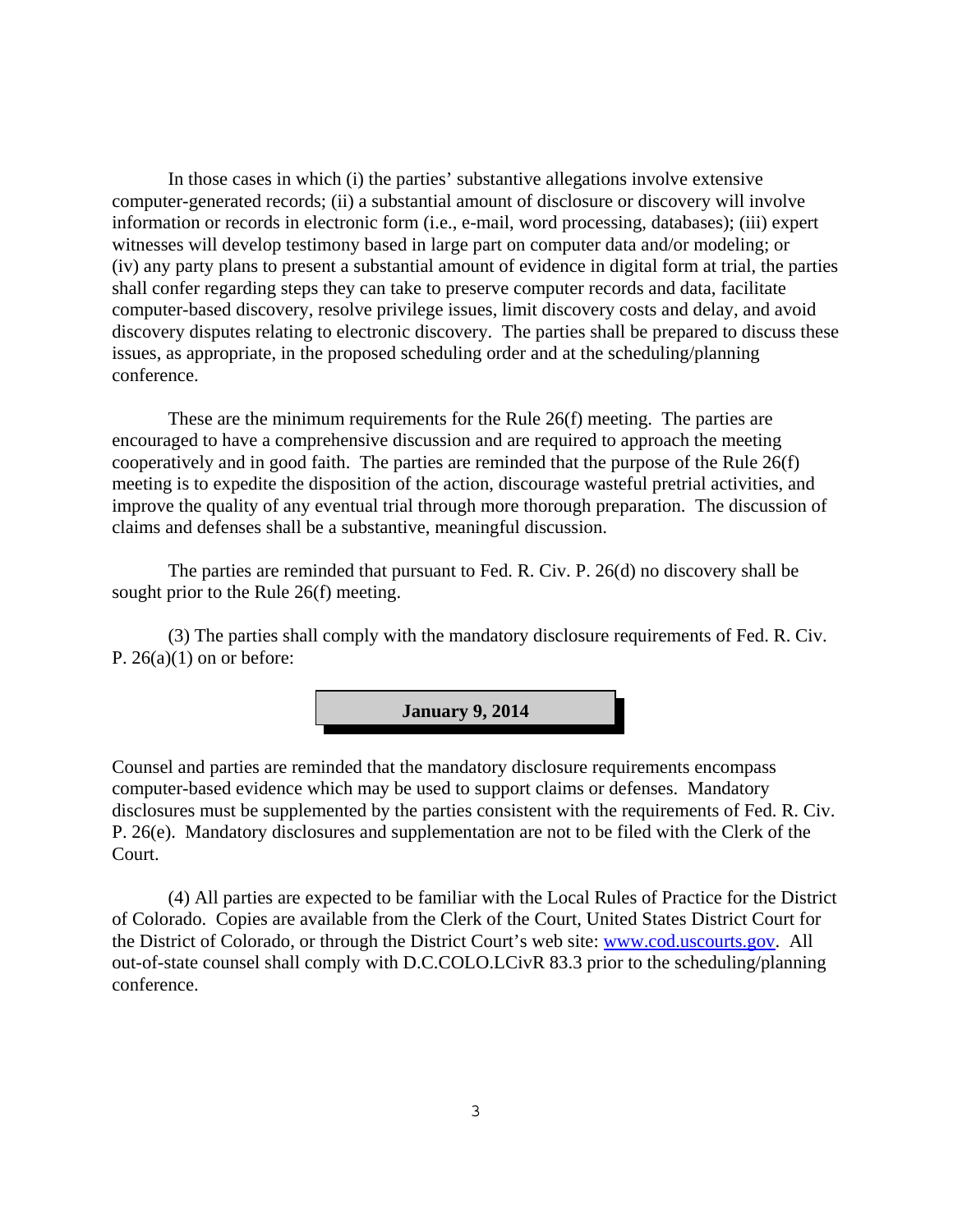In those cases in which (i) the parties' substantive allegations involve extensive computer-generated records; (ii) a substantial amount of disclosure or discovery will involve information or records in electronic form (i.e., e-mail, word processing, databases); (iii) expert witnesses will develop testimony based in large part on computer data and/or modeling; or (iv) any party plans to present a substantial amount of evidence in digital form at trial, the parties shall confer regarding steps they can take to preserve computer records and data, facilitate computer-based discovery, resolve privilege issues, limit discovery costs and delay, and avoid discovery disputes relating to electronic discovery. The parties shall be prepared to discuss these issues, as appropriate, in the proposed scheduling order and at the scheduling/planning conference.

These are the minimum requirements for the Rule 26(f) meeting. The parties are encouraged to have a comprehensive discussion and are required to approach the meeting cooperatively and in good faith. The parties are reminded that the purpose of the Rule 26(f) meeting is to expedite the disposition of the action, discourage wasteful pretrial activities, and improve the quality of any eventual trial through more thorough preparation. The discussion of claims and defenses shall be a substantive, meaningful discussion.

The parties are reminded that pursuant to Fed. R. Civ. P. 26(d) no discovery shall be sought prior to the Rule 26(f) meeting.

(3) The parties shall comply with the mandatory disclosure requirements of Fed. R. Civ. P.  $26(a)(1)$  on or before:



Counsel and parties are reminded that the mandatory disclosure requirements encompass computer-based evidence which may be used to support claims or defenses. Mandatory disclosures must be supplemented by the parties consistent with the requirements of Fed. R. Civ. P. 26(e). Mandatory disclosures and supplementation are not to be filed with the Clerk of the Court.

(4) All parties are expected to be familiar with the Local Rules of Practice for the District of Colorado. Copies are available from the Clerk of the Court, United States District Court for the District of Colorado, or through the District Court's web site: www.cod.uscourts.gov. All out-of-state counsel shall comply with D.C.COLO.LCivR 83.3 prior to the scheduling/planning conference.